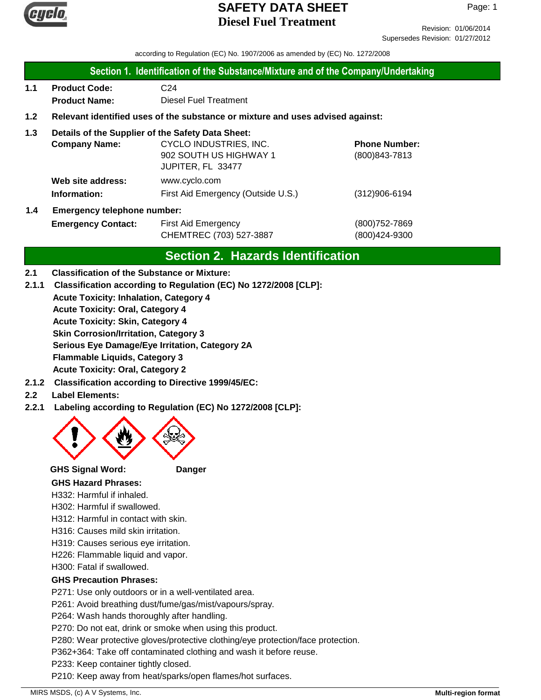

Revision: 01/06/2014 Supersedes Revision: 01/27/2012

according to Regulation (EC) No. 1907/2006 as amended by (EC) No. 1272/2008

#### **Section 1. Identification of the Substance/Mixture and of the Company/Undertaking**

**1.1 Product Code:** C24  **Product Name:** Diesel Fuel Treatment

### **1.2 Relevant identified uses of the substance or mixture and uses advised against:**

### **1.3 Details of the Supplier of the Safety Data Sheet:**

|     | <b>Company Name:</b>               | CYCLO INDUSTRIES, INC.<br>902 SOUTH US HIGHWAY 1<br>JUPITER, FL 33477 | <b>Phone Number:</b><br>$(800)843 - 7813$ |
|-----|------------------------------------|-----------------------------------------------------------------------|-------------------------------------------|
|     | Web site address:<br>Information:  | www.cyclo.com<br>First Aid Emergency (Outside U.S.)                   | $(312)906 - 6194$                         |
| 1.4 | <b>Emergency telephone number:</b> |                                                                       |                                           |

# **Emergency Contact:** First Aid Emergency **Emergency** (800)752-7869 CHEMTREC (703) 527-3887 (800)424-9300

# **Section 2. Hazards Identification**

#### **2.1 Classification of the Substance or Mixture:**

- **2.1.1 Classification according to Regulation (EC) No 1272/2008 [CLP]:**
	- **Acute Toxicity: Inhalation, Category 4**

**Acute Toxicity: Oral, Category 4**

**Acute Toxicity: Skin, Category 4**

**Skin Corrosion/Irritation, Category 3**

**Serious Eye Damage/Eye Irritation, Category 2A**

**Flammable Liquids, Category 3**

**Acute Toxicity: Oral, Category 2**

**2.1.2 Classification according to Directive 1999/45/EC:**

#### **2.2 Label Elements:**

**2.2.1 Labeling according to Regulation (EC) No 1272/2008 [CLP]:**



**GHS Signal Word: Danger**

## **GHS Hazard Phrases:**

H332: Harmful if inhaled.

H302: Harmful if swallowed.

H312: Harmful in contact with skin.

H316: Causes mild skin irritation.

- H319: Causes serious eye irritation.
- H226: Flammable liquid and vapor.

H300: Fatal if swallowed.

## **GHS Precaution Phrases:**

P271: Use only outdoors or in a well-ventilated area.

P261: Avoid breathing dust/fume/gas/mist/vapours/spray.

P264: Wash hands thoroughly after handling.

P270: Do not eat, drink or smoke when using this product.

P280: Wear protective gloves/protective clothing/eye protection/face protection.

P362+364: Take off contaminated clothing and wash it before reuse.

P233: Keep container tightly closed.

P210: Keep away from heat/sparks/open flames/hot surfaces.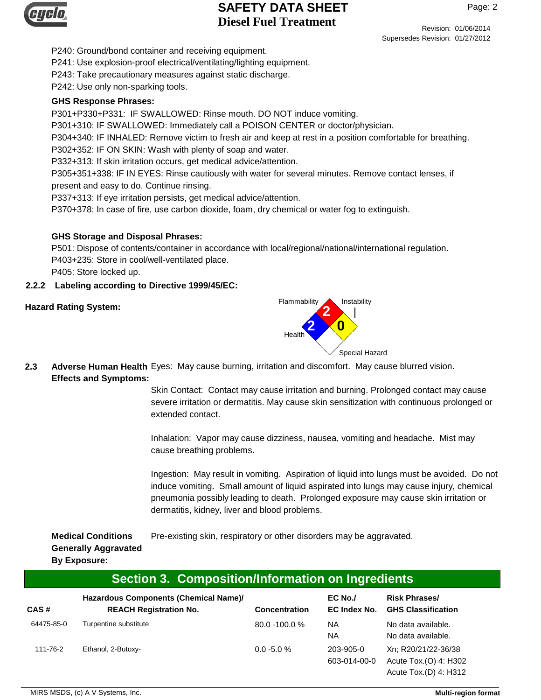

Revision: 01/06/2014 Supersedes Revision: 01/27/2012

P240: Ground/bond container and receiving equipment.

P241: Use explosion-proof electrical/ventilating/lighting equipment.

P243: Take precautionary measures against static discharge.

P242: Use only non-sparking tools.

#### **GHS Response Phrases:**

P301+P330+P331: IF SWALLOWED: Rinse mouth. DO NOT induce vomiting.

P301+310: IF SWALLOWED: Immediately call a POISON CENTER or doctor/physician.

P304+340: IF INHALED: Remove victim to fresh air and keep at rest in a position comfortable for breathing.

P302+352: IF ON SKIN: Wash with plenty of soap and water.

P332+313: If skin irritation occurs, get medical advice/attention.

P305+351+338: IF IN EYES: Rinse cautiously with water for several minutes. Remove contact lenses, if present and easy to do. Continue rinsing.

P337+313: If eye irritation persists, get medical advice/attention.

P370+378: In case of fire, use carbon dioxide, foam, dry chemical or water fog to extinguish.

### **GHS Storage and Disposal Phrases:**

P501: Dispose of contents/container in accordance with local/regional/national/international regulation. P403+235: Store in cool/well-ventilated place. P405: Store locked up.

**2.2.2 Labeling according to Directive 1999/45/EC:**



**2.3** Adverse Human Health Eyes: May cause burning, irritation and discomfort. May cause blurred vision. **Effects and Symptoms:**

> Skin Contact: Contact may cause irritation and burning. Prolonged contact may cause severe irritation or dermatitis. May cause skin sensitization with continuous prolonged or extended contact.

Inhalation: Vapor may cause dizziness, nausea, vomiting and headache. Mist may cause breathing problems.

Ingestion: May result in vomiting. Aspiration of liquid into lungs must be avoided. Do not induce vomiting. Small amount of liquid aspirated into lungs may cause injury, chemical pneumonia possibly leading to death. Prolonged exposure may cause skin irritation or dermatitis, kidney, liver and blood problems.

**Medical Conditions** Pre-existing skin, respiratory or other disorders may be aggravated. **Generally Aggravated**

## **By Exposure:**

| Section 3. Composition/Information on Ingredients |  |  |
|---------------------------------------------------|--|--|
|                                                   |  |  |

| CAS#       | Hazardous Components (Chemical Name)/<br><b>REACH Registration No.</b> | <b>Concentration</b> | $EC$ No./<br>EC Index No. | <b>Risk Phrases/</b><br><b>GHS Classification</b> |
|------------|------------------------------------------------------------------------|----------------------|---------------------------|---------------------------------------------------|
| 64475-85-0 | Turpentine substitute                                                  | 80.0 -100.0 %        | NA.<br><b>NA</b>          | No data available.<br>No data available.          |
| 111-76-2   | Ethanol, 2-Butoxy-                                                     | $0.0 - 5.0 %$        | 203-905-0<br>603-014-00-0 | Xn; R20/21/22-36/38<br>Acute Tox.(O) 4: H302      |

Acute Tox.(D) 4: H312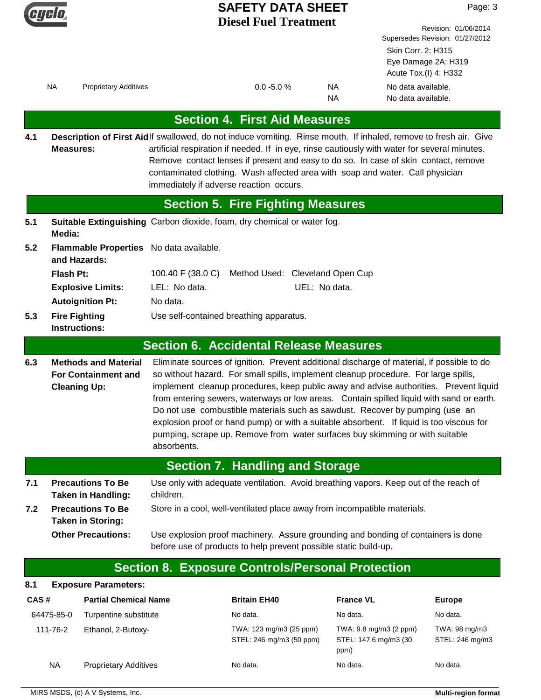

Revision: 01/06/2014 Supersedes Revision: 01/27/2012 Skin Corr. 2: H315 Eye Damage 2A: H319 Acute Tox.(I) 4: H332 NA Proprietary Additives **NA** Proprietary Additives NA No data available. No data available. **Section 4. First Aid Measures** Description of First Aidlf swallowed, do not induce vomiting. Rinse mouth. If inhaled, remove to fresh air. Give artificial respiration if needed. If in eye, rinse cautiously with water for several minutes. Remove contact lenses if present and easy to do so. In case of skin contact, remove contaminated clothing. Wash affected area with soap and water. Call physician immediately if adverse reaction occurs. **Measures: 4.1 5.1 5.2 Section 5. Fire Fighting Measures** Flash Pt: 100.40 F (38.0 C) Method Used: Cleveland Open Cup **Fire Fighting** Use self-contained breathing apparatus. **Instructions: Autoignition Pt:** No data. **Explosive Limits:** LEL: No data. UEL: No data. **Suitable Extinguishing** Carbon dioxide, foam, dry chemical or water fog. **Media: Flammable Properties** No data available. **and Hazards: 5.3 6.3 Section 6. Accidental Release Measures** Eliminate sources of ignition. Prevent additional discharge of material, if possible to do so without hazard. For small spills, implement cleanup procedure. For large spills, implement cleanup procedures, keep public away and advise authorities. Prevent liquid from entering sewers, waterways or low areas. Contain spilled liquid with sand or earth. Do not use combustible materials such as sawdust. Recover by pumping (use an explosion proof or hand pump) or with a suitable absorbent. If liquid is too viscous for pumping, scrape up. Remove from water surfaces buy skimming or with suitable absorbents. **Methods and Material For Containment and Cleaning Up: 7.1 7.2 Section 7. Handling and Storage** Use only with adequate ventilation. Avoid breathing vapors. Keep out of the reach of children. **Precautions To Be Taken in Handling: Precautions To Be** Store in a cool, well-ventilated place away from incompatible materials. **Taken in Storing:** Use explosion proof machinery. Assure grounding and bonding of containers is done before use of products to help prevent possible static build-up. **Other Precautions:**

## **Section 8. Exposure Controls/Personal Protection**

| 8.1<br><b>Exposure Parameters:</b> |                              |                                                     |                                                          |                                  |
|------------------------------------|------------------------------|-----------------------------------------------------|----------------------------------------------------------|----------------------------------|
| CAS#                               | <b>Partial Chemical Name</b> | <b>Britain EH40</b>                                 | <b>France VL</b>                                         | <b>Europe</b>                    |
| 64475-85-0                         | Turpentine substitute        | No data.                                            | No data.                                                 | No data.                         |
| 111-76-2                           | Ethanol, 2-Butoxy-           | TWA: 123 mg/m3 (25 ppm)<br>STEL: 246 mg/m3 (50 ppm) | TWA: 9.8 mg/m3 (2 ppm)<br>STEL: 147.6 mg/m3 (30)<br>ppm) | TWA: 98 mg/m3<br>STEL: 246 mg/m3 |
| <b>NA</b>                          | <b>Proprietary Additives</b> | No data.                                            | No data.                                                 | No data.                         |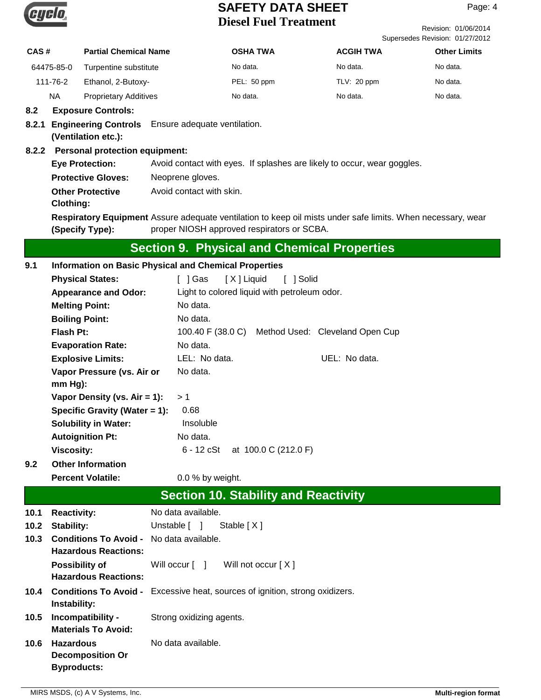

Revision: 01/06/2014 Supersedes Revision: 01/27/2012

| CAS#       | <b>Partial Chemical Name</b> | <b>OSHA TWA</b> | <b>ACGIH TWA</b> | <b>Other Limits</b> |
|------------|------------------------------|-----------------|------------------|---------------------|
| 64475-85-0 | Turpentine substitute        | No data.        | No data.         | No data.            |
| 111-76-2   | Ethanol, 2-Butoxy-           | PEL: 50 ppm     | TLV: 20 ppm      | No data.            |
| ΝA         | <b>Proprietary Additives</b> | No data.        | No data.         | No data.            |

#### **8.2 Exposure Controls:**

#### **8.2.1 Engineering Controls** Ensure adequate ventilation. **(Ventilation etc.):**

#### **8.2.2 Personal protection equipment:**

| <b>Eye Protection:</b>    | Avoid contact with eyes. If splashes are likely to occur, wear goggles.                                     |
|---------------------------|-------------------------------------------------------------------------------------------------------------|
| <b>Protective Gloves:</b> | Neoprene gloves.                                                                                            |
| Other Protective          | Avoid contact with skin.                                                                                    |
| Clothing:                 |                                                                                                             |
|                           | Respiratory Equipment Assure adequate ventilation to keep oil mists under safe limits. When necessary, wear |

proper NIOSH approved respirators or SCBA. **(Specify Type):**

# **Section 9. Physical and Chemical Properties**

| 9.1  | <b>Information on Basic Physical and Chemical Properties</b>                   |                                                                                     |  |
|------|--------------------------------------------------------------------------------|-------------------------------------------------------------------------------------|--|
|      | <b>Physical States:</b>                                                        | [X] Liquid<br>[ ] Gas<br>[ ] Solid                                                  |  |
|      | <b>Appearance and Odor:</b>                                                    | Light to colored liquid with petroleum odor.                                        |  |
|      | <b>Melting Point:</b>                                                          | No data.                                                                            |  |
|      | <b>Boiling Point:</b>                                                          | No data.                                                                            |  |
|      | <b>Flash Pt:</b>                                                               | 100.40 F (38.0 C)<br>Method Used: Cleveland Open Cup                                |  |
|      | <b>Evaporation Rate:</b>                                                       | No data.                                                                            |  |
|      | <b>Explosive Limits:</b>                                                       | LEL: No data.<br>UEL: No data.                                                      |  |
|      | Vapor Pressure (vs. Air or<br>mm Hg):                                          | No data.                                                                            |  |
|      | Vapor Density (vs. Air = 1):                                                   | >1                                                                                  |  |
|      | Specific Gravity (Water $= 1$ ):                                               | 0.68                                                                                |  |
|      | <b>Solubility in Water:</b>                                                    | Insoluble                                                                           |  |
|      | <b>Autoignition Pt:</b>                                                        | No data.                                                                            |  |
|      | <b>Viscosity:</b>                                                              | $6 - 12$ cSt<br>at 100.0 C (212.0 F)                                                |  |
| 9.2  | <b>Other Information</b>                                                       |                                                                                     |  |
|      | <b>Percent Volatile:</b>                                                       | 0.0 % by weight.                                                                    |  |
|      | <b>Section 10. Stability and Reactivity</b>                                    |                                                                                     |  |
| 10.1 | <b>Reactivity:</b>                                                             | No data available.                                                                  |  |
| 10.2 | Stability:                                                                     | Unstable [ ]<br>Stable $[X]$                                                        |  |
| 10.3 | <b>Conditions To Avoid - No data available.</b><br><b>Hazardous Reactions:</b> |                                                                                     |  |
|      | <b>Possibility of</b><br><b>Hazardous Reactions:</b>                           | Will occur [ ]<br>Will not occur [X]                                                |  |
| 10.4 | Instability:                                                                   | <b>Conditions To Avoid -</b> Excessive heat, sources of ignition, strong oxidizers. |  |
| 10.5 | Incompatibility -<br><b>Materials To Avoid:</b>                                | Strong oxidizing agents.                                                            |  |
| 10.6 | <b>Hazardous</b>                                                               | No data available.                                                                  |  |
|      | <b>Decomposition Or</b>                                                        |                                                                                     |  |
|      | <b>Byproducts:</b>                                                             |                                                                                     |  |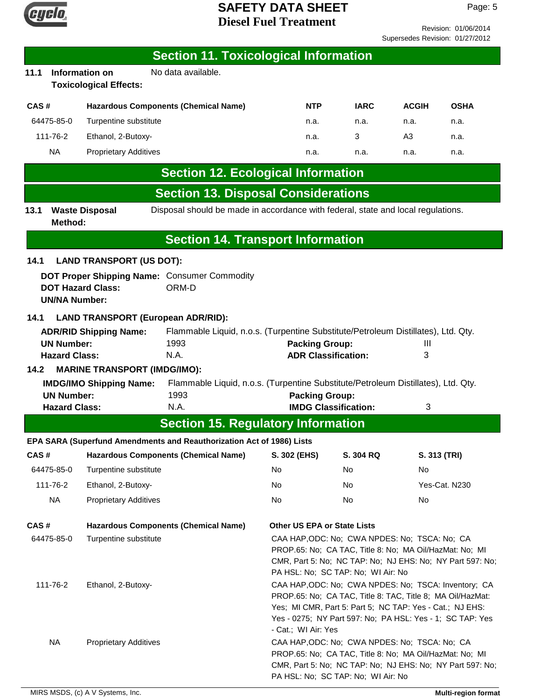

Revision: 01/06/2014 Supersedes Revision: 01/27/2012

|                                                                                                                                                                                                                                                                                                       |                      |                                                        | <b>Section 11. Toxicological Information</b>                                     |                                    |                                                                                                                                                                                                                                             |              |               |
|-------------------------------------------------------------------------------------------------------------------------------------------------------------------------------------------------------------------------------------------------------------------------------------------------------|----------------------|--------------------------------------------------------|----------------------------------------------------------------------------------|------------------------------------|---------------------------------------------------------------------------------------------------------------------------------------------------------------------------------------------------------------------------------------------|--------------|---------------|
| 11.1                                                                                                                                                                                                                                                                                                  |                      | <b>Information on</b><br><b>Toxicological Effects:</b> | No data available.                                                               |                                    |                                                                                                                                                                                                                                             |              |               |
| CAS#                                                                                                                                                                                                                                                                                                  |                      |                                                        | <b>Hazardous Components (Chemical Name)</b>                                      | <b>NTP</b>                         | <b>IARC</b>                                                                                                                                                                                                                                 | <b>ACGIH</b> | <b>OSHA</b>   |
|                                                                                                                                                                                                                                                                                                       | 64475-85-0           | Turpentine substitute                                  |                                                                                  | n.a.                               | n.a.                                                                                                                                                                                                                                        | n.a.         | n.a.          |
|                                                                                                                                                                                                                                                                                                       | 111-76-2             | Ethanol, 2-Butoxy-                                     |                                                                                  | n.a.                               | 3                                                                                                                                                                                                                                           | A3           | n.a.          |
|                                                                                                                                                                                                                                                                                                       | <b>NA</b>            | <b>Proprietary Additives</b>                           |                                                                                  | n.a.                               | n.a.                                                                                                                                                                                                                                        | n.a.         | n.a.          |
|                                                                                                                                                                                                                                                                                                       |                      |                                                        | <b>Section 12. Ecological Information</b>                                        |                                    |                                                                                                                                                                                                                                             |              |               |
|                                                                                                                                                                                                                                                                                                       |                      |                                                        | <b>Section 13. Disposal Considerations</b>                                       |                                    |                                                                                                                                                                                                                                             |              |               |
| 13.1                                                                                                                                                                                                                                                                                                  | Method:              | <b>Waste Disposal</b>                                  | Disposal should be made in accordance with federal, state and local regulations. |                                    |                                                                                                                                                                                                                                             |              |               |
|                                                                                                                                                                                                                                                                                                       |                      |                                                        | <b>Section 14. Transport Information</b>                                         |                                    |                                                                                                                                                                                                                                             |              |               |
| 14.1                                                                                                                                                                                                                                                                                                  |                      | <b>LAND TRANSPORT (US DOT):</b>                        |                                                                                  |                                    |                                                                                                                                                                                                                                             |              |               |
|                                                                                                                                                                                                                                                                                                       | <b>UN/NA Number:</b> | <b>DOT Hazard Class:</b>                               | DOT Proper Shipping Name: Consumer Commodity<br>ORM-D                            |                                    |                                                                                                                                                                                                                                             |              |               |
| 14.1<br><b>LAND TRANSPORT (European ADR/RID):</b><br>Flammable Liquid, n.o.s. (Turpentine Substitute/Petroleum Distillates), Ltd. Qty.<br><b>ADR/RID Shipping Name:</b><br><b>UN Number:</b><br>1993<br><b>Packing Group:</b><br>Ш<br><b>Hazard Class:</b><br>N.A.<br><b>ADR Classification:</b><br>3 |                      |                                                        |                                                                                  |                                    |                                                                                                                                                                                                                                             |              |               |
| <b>MARINE TRANSPORT (IMDG/IMO):</b><br>14.2<br>Flammable Liquid, n.o.s. (Turpentine Substitute/Petroleum Distillates), Ltd. Qty.<br><b>IMDG/IMO Shipping Name:</b><br>1993<br><b>UN Number:</b><br><b>Hazard Class:</b><br>N.A.                                                                       |                      |                                                        | <b>Packing Group:</b>                                                            | <b>IMDG Classification:</b>        | 3                                                                                                                                                                                                                                           |              |               |
|                                                                                                                                                                                                                                                                                                       |                      |                                                        | <b>Section 15. Regulatory Information</b>                                        |                                    |                                                                                                                                                                                                                                             |              |               |
|                                                                                                                                                                                                                                                                                                       |                      |                                                        | EPA SARA (Superfund Amendments and Reauthorization Act of 1986) Lists            |                                    |                                                                                                                                                                                                                                             |              |               |
| CAS#                                                                                                                                                                                                                                                                                                  |                      |                                                        | <b>Hazardous Components (Chemical Name)</b>                                      | S. 302 (EHS)                       | S. 304 RQ                                                                                                                                                                                                                                   |              | S. 313 (TRI)  |
|                                                                                                                                                                                                                                                                                                       | 64475-85-0           | Turpentine substitute                                  |                                                                                  | No                                 | No.                                                                                                                                                                                                                                         | No           |               |
|                                                                                                                                                                                                                                                                                                       | 111-76-2             | Ethanol, 2-Butoxy-                                     |                                                                                  | No                                 | No                                                                                                                                                                                                                                          |              | Yes-Cat. N230 |
|                                                                                                                                                                                                                                                                                                       | <b>NA</b>            | <b>Proprietary Additives</b>                           |                                                                                  | No                                 | No                                                                                                                                                                                                                                          | No           |               |
| CAS#                                                                                                                                                                                                                                                                                                  | 64475-85-0           | Turpentine substitute                                  | <b>Hazardous Components (Chemical Name)</b>                                      | <b>Other US EPA or State Lists</b> | CAA HAP, ODC: No; CWA NPDES: No; TSCA: No; CA<br>PROP.65: No; CA TAC, Title 8: No; MA Oil/HazMat: No; MI<br>CMR, Part 5: No; NC TAP: No; NJ EHS: No; NY Part 597: No;<br>PA HSL: No; SC TAP: No; WI Air: No                                 |              |               |
|                                                                                                                                                                                                                                                                                                       | 111-76-2             | Ethanol, 2-Butoxy-                                     |                                                                                  | - Cat.; WI Air: Yes                | CAA HAP, ODC: No; CWA NPDES: No; TSCA: Inventory; CA<br>PROP.65: No; CA TAC, Title 8: TAC, Title 8; MA Oil/HazMat:<br>Yes; MI CMR, Part 5: Part 5; NC TAP: Yes - Cat.; NJ EHS:<br>Yes - 0275; NY Part 597: No; PA HSL: Yes - 1; SC TAP: Yes |              |               |
|                                                                                                                                                                                                                                                                                                       | <b>NA</b>            | <b>Proprietary Additives</b>                           |                                                                                  |                                    | CAA HAP, ODC: No; CWA NPDES: No; TSCA: No; CA<br>PROP.65: No; CA TAC, Title 8: No; MA Oil/HazMat: No; MI<br>CMR, Part 5: No; NC TAP: No; NJ EHS: No; NY Part 597: No;<br>PA HSL: No; SC TAP: No; WI Air: No                                 |              |               |